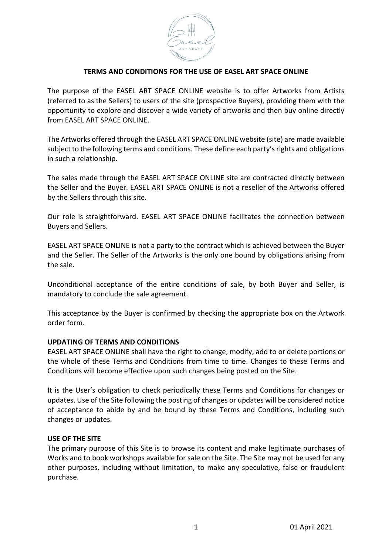

## **TERMS AND CONDITIONS FOR THE USE OF EASEL ART SPACE ONLINE**

The purpose of the EASEL ART SPACE ONLINE website is to offer Artworks from Artists (referred to as the Sellers) to users of the site (prospective Buyers), providing them with the opportunity to explore and discover a wide variety of artworks and then buy online directly from EASEL ART SPACE ONLINE.

The Artworks offered through the EASEL ART SPACE ONLINE website (site) are made available subject to the following terms and conditions. These define each party's rights and obligations in such a relationship.

The sales made through the EASEL ART SPACE ONLINE site are contracted directly between the Seller and the Buyer. EASEL ART SPACE ONLINE is not a reseller of the Artworks offered by the Sellers through this site.

Our role is straightforward. EASEL ART SPACE ONLINE facilitates the connection between Buyers and Sellers.

EASEL ART SPACE ONLINE is not a party to the contract which is achieved between the Buyer and the Seller. The Seller of the Artworks is the only one bound by obligations arising from the sale.

Unconditional acceptance of the entire conditions of sale, by both Buyer and Seller, is mandatory to conclude the sale agreement.

This acceptance by the Buyer is confirmed by checking the appropriate box on the Artwork order form.

### **UPDATING OF TERMS AND CONDITIONS**

EASEL ART SPACE ONLINE shall have the right to change, modify, add to or delete portions or the whole of these Terms and Conditions from time to time. Changes to these Terms and Conditions will become effective upon such changes being posted on the Site.

It is the User's obligation to check periodically these Terms and Conditions for changes or updates. Use of the Site following the posting of changes or updates will be considered notice of acceptance to abide by and be bound by these Terms and Conditions, including such changes or updates.

#### **USE OF THE SITE**

The primary purpose of this Site is to browse its content and make legitimate purchases of Works and to book workshops available for sale on the Site. The Site may not be used for any other purposes, including without limitation, to make any speculative, false or fraudulent purchase.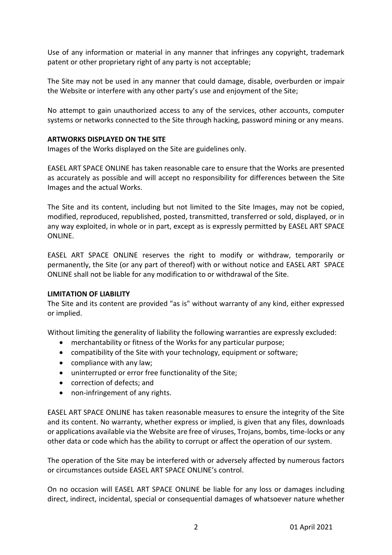Use of any information or material in any manner that infringes any copyright, trademark patent or other proprietary right of any party is not acceptable;

The Site may not be used in any manner that could damage, disable, overburden or impair the Website or interfere with any other party's use and enjoyment of the Site;

No attempt to gain unauthorized access to any of the services, other accounts, computer systems or networks connected to the Site through hacking, password mining or any means.

## **ARTWORKS DISPLAYED ON THE SITE**

Images of the Works displayed on the Site are guidelines only.

EASEL ART SPACE ONLINE has taken reasonable care to ensure that the Works are presented as accurately as possible and will accept no responsibility for differences between the Site Images and the actual Works.

The Site and its content, including but not limited to the Site Images, may not be copied, modified, reproduced, republished, posted, transmitted, transferred or sold, displayed, or in any way exploited, in whole or in part, except as is expressly permitted by EASEL ART SPACE ONLINE.

EASEL ART SPACE ONLINE reserves the right to modify or withdraw, temporarily or permanently, the Site (or any part of thereof) with or without notice and EASEL ART SPACE ONLINE shall not be liable for any modification to or withdrawal of the Site.

### **LIMITATION OF LIABILITY**

The Site and its content are provided "as is" without warranty of any kind, either expressed or implied.

Without limiting the generality of liability the following warranties are expressly excluded:

- merchantability or fitness of the Works for any particular purpose;
- compatibility of the Site with your technology, equipment or software;
- compliance with any law;
- uninterrupted or error free functionality of the Site;
- correction of defects; and
- non-infringement of any rights.

EASEL ART SPACE ONLINE has taken reasonable measures to ensure the integrity of the Site and its content. No warranty, whether express or implied, is given that any files, downloads or applications available via the Website are free of viruses, Trojans, bombs, time-locks or any other data or code which has the ability to corrupt or affect the operation of our system.

The operation of the Site may be interfered with or adversely affected by numerous factors or circumstances outside EASEL ART SPACE ONLINE's control.

On no occasion will EASEL ART SPACE ONLINE be liable for any loss or damages including direct, indirect, incidental, special or consequential damages of whatsoever nature whether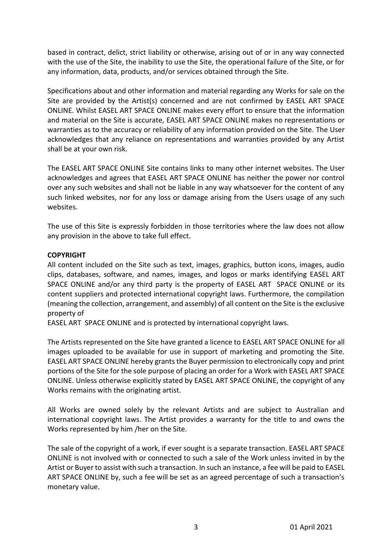based in contract, delict, strict liability or otherwise, arising out of or in any way connected with the use of the Site, the inability to use the Site, the operational failure of the Site, or for any information, data, products, and/or services obtained through the Site.

Specifications about and other information and material regarding any Works for sale on the Site are provided by the Artist(s) concerned and are not confirmed by EASEL ART SPACE ONLINE. Whilst EASEL ART SPACE ONLINE makes every effort to ensure that the information and material on the Site is accurate, EASEL ART SPACE ONLINE makes no representations or warranties as to the accuracy or reliability of any information provided on the Site. The User acknowledges that any reliance on representations and warranties provided by any Artist shall be at your own risk.

The EASEL ART SPACE ONLINE Site contains links to many other internet websites. The User acknowledges and agrees that EASEL ART SPACE ONLINE has neither the power nor control over any such websites and shall not be liable in any way whatsoever for the content of any such linked websites, nor for any loss or damage arising from the Users usage of any such websites.

The use of this Site is expressly forbidden in those territories where the law does not allow any provision in the above to take full effect.

# **COPYRIGHT**

All content included on the Site such as text, images, graphics, button icons, images, audio clips, databases, software, and names, images, and logos or marks identifying EASEL ART SPACE ONLINE and/or any third party is the property of EASEL ART SPACE ONLINE or its content suppliers and protected international copyright laws. Furthermore, the compilation (meaning the collection, arrangement, and assembly) of all content on the Site is the exclusive property of

EASEL ART SPACE ONLINE and is protected by international copyright laws.

The Artists represented on the Site have granted a licence to EASEL ART SPACE ONLINE for all images uploaded to be available for use in support of marketing and promoting the Site. EASEL ART SPACE ONLINE hereby grants the Buyer permission to electronically copy and print portions of the Site for the sole purpose of placing an order for a Work with EASEL ART SPACE ONLINE. Unless otherwise explicitly stated by EASEL ART SPACE ONLINE, the copyright of any Works remains with the originating artist.

All Works are owned solely by the relevant Artists and are subject to Australian and international copyright laws. The Artist provides a warranty for the title to and owns the Works represented by him /her on the Site.

The sale of the copyright of a work, if ever sought is a separate transaction. EASEL ART SPACE ONLINE is not involved with or connected to such a sale of the Work unless invited in by the Artist or Buyer to assist with such a transaction. In such an instance, a fee will be paid to EASEL ART SPACE ONLINE by, such a fee will be set as an agreed percentage of such a transaction's monetary value.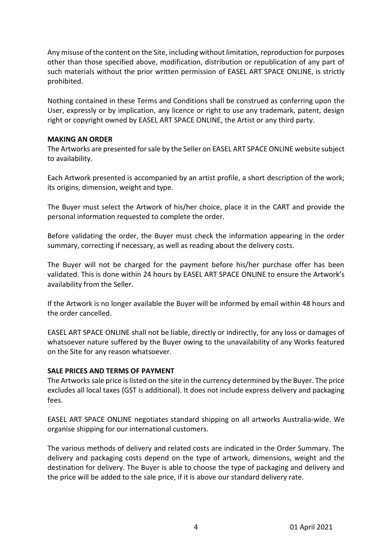Any misuse of the content on the Site, including without limitation, reproduction for purposes other than those specified above, modification, distribution or republication of any part of such materials without the prior written permission of EASEL ART SPACE ONLINE, is strictly prohibited.

Nothing contained in these Terms and Conditions shall be construed as conferring upon the User, expressly or by implication, any licence or right to use any trademark, patent, design right or copyright owned by EASEL ART SPACE ONLINE, the Artist or any third party.

### **MAKING AN ORDER**

The Artworks are presented for sale by the Seller on EASEL ART SPACE ONLINE website subject to availability.

Each Artwork presented is accompanied by an artist profile, a short description of the work; its origins, dimension, weight and type.

The Buyer must select the Artwork of his/her choice, place it in the CART and provide the personal information requested to complete the order.

Before validating the order, the Buyer must check the information appearing in the order summary, correcting if necessary, as well as reading about the delivery costs.

The Buyer will not be charged for the payment before his/her purchase offer has been validated. This is done within 24 hours by EASEL ART SPACE ONLINE to ensure the Artwork's availability from the Seller.

If the Artwork is no longer available the Buyer will be informed by email within 48 hours and the order cancelled.

EASEL ART SPACE ONLINE shall not be liable, directly or indirectly, for any loss or damages of whatsoever nature suffered by the Buyer owing to the unavailability of any Works featured on the Site for any reason whatsoever.

### **SALE PRICES AND TERMS OF PAYMENT**

The Artworks sale price is listed on the site in the currency determined by the Buyer. The price excludes all local taxes (GST is additional). It does not include express delivery and packaging fees.

EASEL ART SPACE ONLINE negotiates standard shipping on all artworks Australia-wide. We organise shipping for our international customers.

The various methods of delivery and related costs are indicated in the Order Summary. The delivery and packaging costs depend on the type of artwork, dimensions, weight and the destination for delivery. The Buyer is able to choose the type of packaging and delivery and the price will be added to the sale price, if it is above our standard delivery rate.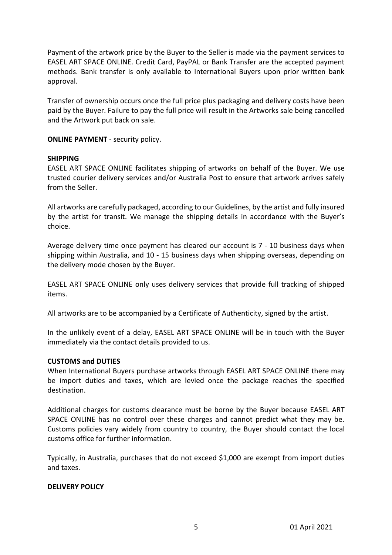Payment of the artwork price by the Buyer to the Seller is made via the payment services to EASEL ART SPACE ONLINE. Credit Card, PayPAL or Bank Transfer are the accepted payment methods. Bank transfer is only available to International Buyers upon prior written bank approval.

Transfer of ownership occurs once the full price plus packaging and delivery costs have been paid by the Buyer. Failure to pay the full price will result in the Artworks sale being cancelled and the Artwork put back on sale.

**ONLINE PAYMENT** - security policy.

#### **SHIPPING**

EASEL ART SPACE ONLINE facilitates shipping of artworks on behalf of the Buyer. We use trusted courier delivery services and/or Australia Post to ensure that artwork arrives safely from the Seller.

All artworks are carefully packaged, according to our Guidelines, by the artist and fully insured by the artist for transit. We manage the shipping details in accordance with the Buyer's choice.

Average delivery time once payment has cleared our account is 7 - 10 business days when shipping within Australia, and 10 - 15 business days when shipping overseas, depending on the delivery mode chosen by the Buyer.

EASEL ART SPACE ONLINE only uses delivery services that provide full tracking of shipped items.

All artworks are to be accompanied by a Certificate of Authenticity, signed by the artist.

In the unlikely event of a delay, EASEL ART SPACE ONLINE will be in touch with the Buyer immediately via the contact details provided to us.

#### **CUSTOMS and DUTIES**

When International Buyers purchase artworks through EASEL ART SPACE ONLINE there may be import duties and taxes, which are levied once the package reaches the specified destination.

Additional charges for customs clearance must be borne by the Buyer because EASEL ART SPACE ONLINE has no control over these charges and cannot predict what they may be. Customs policies vary widely from country to country, the Buyer should contact the local customs office for further information.

Typically, in Australia, purchases that do not exceed \$1,000 are exempt from import duties and taxes.

### **DELIVERY POLICY**